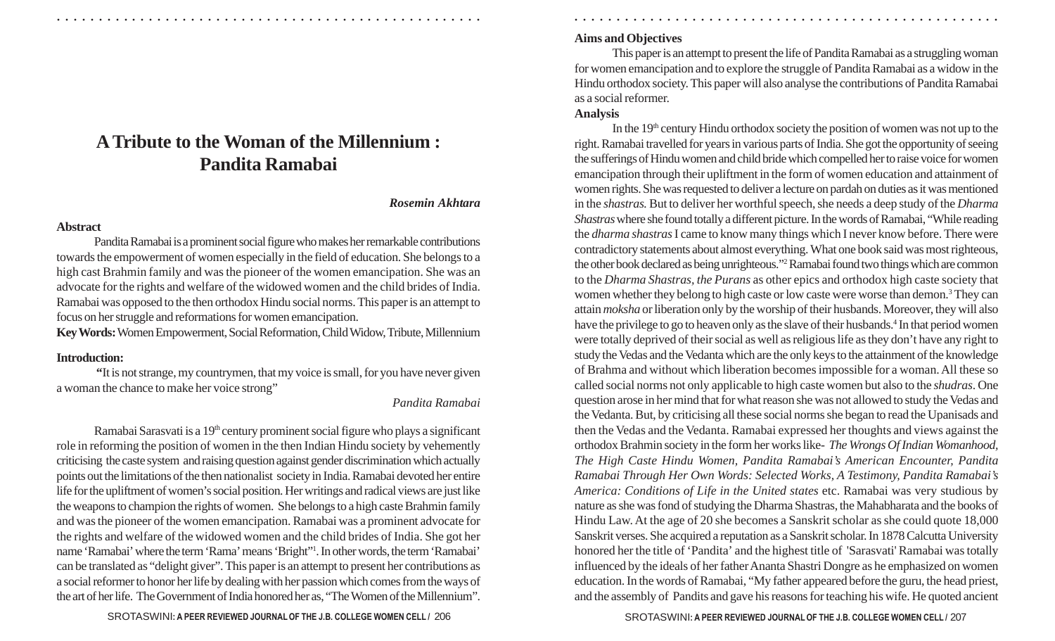# **A Tribute to the Woman of the Millennium : Pandita Ramabai**

○ ○ ○ ○ ○ ○ ○ ○ ○ ○ ○ ○ ○ ○ ○ ○ ○ ○ ○ ○ ○ ○ ○ ○ ○ ○ ○ ○ ○ ○ ○ ○ ○ ○ ○ ○ ○ ○ ○ ○ ○ ○ ○ ○ ○ ○ ○ ○ ○ ○ ○ ○ ○ ○ ○ ○ ○ ○ ○ ○ ○ ○ ○ ○ ○ ○ ○ ○ ○ ○ ○ ○ ○ ○ ○ ○ ○ ○ ○ ○ ○ ○ ○ ○ ○ ○ ○ ○ ○ ○ ○ ○ ○ ○ ○ ○ ○ ○ ○ ○ ○ ○

#### *Rosemin Akhtara*

#### **Abstract**

Pandita Ramabai is a prominent social figure who makes her remarkable contributions towards the empowerment of women especially in the field of education. She belongs to a high cast Brahmin family and was the pioneer of the women emancipation. She was an advocate for the rights and welfare of the widowed women and the child brides of India. Ramabai was opposed to the then orthodox Hindu social norms. This paper is an attempt to focus on her struggle and reformations for women emancipation.

**Key Words:** Women Empowerment, Social Reformation, Child Widow, Tribute, Millennium

## **Introduction:**

 **"**It is not strange, my countrymen, that my voice is small, for you have never given a woman the chance to make her voice strong"

## *Pandita Ramabai*

Ramabai Sarasvati is a 19<sup>th</sup> century prominent social figure who plays a significant role in reforming the position of women in the then Indian Hindu society by vehemently criticising the caste system and raising question against gender discrimination which actually points out the limitations of the then nationalist society in India. Ramabai devoted her entire life for the upliftment of women's social position. Her writings and radical views are just like the weapons to champion the rights of women. She belongs to a high caste Brahmin family and was the pioneer of the women emancipation. Ramabai was a prominent advocate for the rights and welfare of the widowed women and the child brides of India. She got her name 'Ramabai' where the term 'Rama' means 'Bright" <sup>1</sup>. In other words, the term 'Ramabai' can be translated as "delight giver". This paper is an attempt to present her contributions as a social reformer to honor her life by dealing with her passion which comes from the ways of the art of her life. The Government of India honored her as, "The Women of the Millennium".

## **Aims and Objectives**

This paper is an attempt to present the life of Pandita Ramabai as a struggling woman for women emancipation and to explore the struggle of Pandita Ramabai as a widow in the Hindu orthodox society. This paper will also analyse the contributions of Pandita Ramabai as a social reformer.

#### **Analysis**

In the  $19<sup>th</sup>$  century Hindu orthodox society the position of women was not up to the right. Ramabai travelled for years in various parts of India. She got the opportunity of seeing the sufferings of Hindu women and child bride which compelled her to raise voice for women emancipation through their upliftment in the form of women education and attainment of women rights. She was requested to deliver a lecture on pardah on duties as it was mentioned in the *shastras.* But to deliver her worthful speech, she needs a deep study of the *Dharma Shastras* where she found totally a different picture. In the words of Ramabai, "While reading the *dharma shastras* I came to know many things which I never know before. There were contradictory statements about almost everything. What one book said was most righteous, the other book declared as being unrighteous." <sup>2</sup> Ramabai found two things which are common to the *Dharma Shastras, the Purans* as other epics and orthodox high caste society that women whether they belong to high caste or low caste were worse than demon. <sup>3</sup> They can attain *moksha* or liberation only by the worship of their husbands. Moreover, they will also have the privilege to go to heaven only as the slave of their husbands. <sup>4</sup> In that period women were totally deprived of their social as well as religious life as they don't have any right to study the Vedas and the Vedanta which are the only keys to the attainment of the knowledge of Brahma and without which liberation becomes impossible for a woman. All these so called social norms not only applicable to high caste women but also to the *shudras*. One question arose in her mind that for what reason she was not allowed to study the Vedas and the Vedanta. But, by criticising all these social norms she began to read the Upanisads and then the Vedas and the Vedanta. Ramabai expressed her thoughts and views against the orthodox Brahmin society in the form her works like- *The Wrongs Of Indian Womanhood, The High Caste Hindu Women, Pandita Ramabai's American Encounter, Pandita Ramabai Through Her Own Words: Selected Works, A Testimony, Pandita Ramabai's America: Conditions of Life in the United states* etc. Ramabai was very studious by nature as she was fond of studying the Dharma Shastras, the Mahabharata and the books of Hindu Law. At the age of 20 she becomes a Sanskrit scholar as she could quote 18,000 Sanskrit verses. She acquired a reputation as a Sanskrit scholar. In 1878 Calcutta University honored her the title of 'Pandita' and the highest title of 'Sarasvati' Ramabai was totally influenced by the ideals of her father Ananta Shastri Dongre as he emphasized on women education. In the words of Ramabai, "My father appeared before the guru, the head priest, and the assembly of Pandits and gave his reasons for teaching his wife. He quoted ancient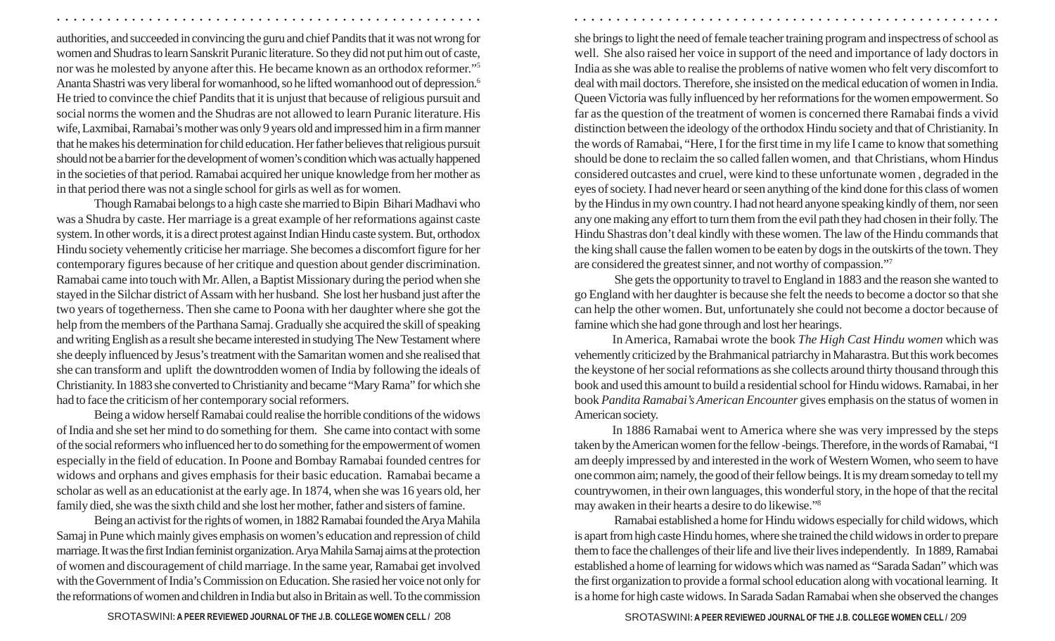authorities, and succeeded in convincing the guru and chief Pandits that it was not wrong for women and Shudras to learn Sanskrit Puranic literature. So they did not put him out of caste, nor was he molested by anyone after this. He became known as an orthodox reformer." 5 Ananta Shastri was very liberal for womanhood, so he lifted womanhood out of depression. 6 He tried to convince the chief Pandits that it is unjust that because of religious pursuit and social norms the women and the Shudras are not allowed to learn Puranic literature.His wife, Laxmibai, Ramabai's mother was only 9 years old and impressed him in a firm manner that he makes his determination for child education. Her father believes that religious pursuit should not be a barrier for the development of women's condition which was actually happened in the societies of that period. Ramabai acquired her unique knowledge from her mother as in that period there was not a single school for girls as well as for women.

Though Ramabai belongs to a high caste she married to Bipin Bihari Madhavi who was a Shudra by caste. Her marriage is a great example of her reformations against caste system. In other words, it is a direct protest against Indian Hindu caste system. But, orthodox Hindu society vehemently criticise her marriage. She becomes a discomfort figure for her contemporary figures because of her critique and question about gender discrimination. Ramabai came into touch with Mr. Allen, a Baptist Missionary during the period when she stayed in the Silchar district of Assam with her husband. She lost her husband just after the two years of togetherness. Then she came to Poona with her daughter where she got the help from the members of the Parthana Samaj. Gradually she acquired the skill of speaking and writing English as a result she became interested in studying The New Testament where she deeply influenced by Jesus's treatment with the Samaritan women and she realised that she can transform and uplift the downtrodden women of India by following the ideals of Christianity. In 1883 she converted to Christianity and became "Mary Rama" for which she had to face the criticism of her contemporary social reformers.

Being a widow herself Ramabai could realise the horrible conditions of the widows of India and she set her mind to do something for them. She came into contact with some of the social reformers who influenced her to do something for the empowerment of women especially in the field of education. In Poone and Bombay Ramabai founded centres for widows and orphans and gives emphasis for their basic education. Ramabai became a scholar as well as an educationist at the early age. In 1874, when she was 16 years old, her family died, she was the sixth child and she lost her mother, father and sisters of famine.

Being an activist for the rights of women, in 1882 Ramabai founded the Arya Mahila Samaj in Pune which mainly gives emphasis on women's education and repression of child marriage. It was the first Indian feminist organization. Arya Mahila Samaj aims at the protection of women and discouragement of child marriage. In the same year, Ramabai get involved with the Government of India's Commission on Education. She rasied her voice not only for the reformations of women and children in India but also in Britain as well. To the commission

she brings to light the need of female teacher training program and inspectress of school as well. She also raised her voice in support of the need and importance of lady doctors in India as she was able to realise the problems of native women who felt very discomfort to deal with mail doctors. Therefore, she insisted on the medical education of women in India. Queen Victoria was fully influenced by her reformations for the women empowerment. So far as the question of the treatment of women is concerned there Ramabai finds a vivid distinction between the ideology of the orthodox Hindu society and that of Christianity. In the words of Ramabai, "Here, I for the first time in my life I came to know that something should be done to reclaim the so called fallen women, and that Christians, whom Hindus considered outcastes and cruel, were kind to these unfortunate women , degraded in the eyes of society. I had never heard or seen anything of the kind done for this class of women by the Hindus in my own country. I had not heard anyone speaking kindly of them, nor seen any one making any effort to turn them from the evil path they had chosen in their folly. The Hindu Shastras don't deal kindly with these women. The law of the Hindu commands that the king shall cause the fallen women to be eaten by dogs in the outskirts of the town. They are considered the greatest sinner, and not worthy of compassion." 7

○ ○ ○ ○ ○ ○ ○ ○ ○ ○ ○ ○ ○ ○ ○ ○ ○ ○ ○ ○ ○ ○ ○ ○ ○ ○ ○ ○ ○ ○ ○ ○ ○ ○ ○ ○ ○ ○ ○ ○ ○ ○ ○ ○ ○ ○ ○ ○ ○ ○ ○ ○ ○ ○ ○ ○ ○ ○ ○ ○ ○ ○ ○ ○ ○ ○ ○ ○ ○ ○ ○ ○ ○ ○ ○ ○ ○ ○ ○ ○ ○ ○ ○ ○ ○ ○ ○ ○ ○ ○ ○ ○ ○ ○ ○ ○ ○ ○ ○ ○ ○ ○

 She gets the opportunity to travel to England in 1883 and the reason she wanted to go England with her daughter is because she felt the needs to become a doctor so that she can help the other women. But, unfortunately she could not become a doctor because of famine which she had gone through and lost her hearings.

In America, Ramabai wrote the book *The High Cast Hindu women* which was vehemently criticized by the Brahmanical patriarchy in Maharastra. But this work becomes the keystone of her social reformations as she collects around thirty thousand through this book and used this amount to build a residential school for Hindu widows. Ramabai, in her book *Pandita Ramabai's American Encounter* gives emphasis on the status of women in American society.

In 1886 Ramabai went to America where she was very impressed by the steps taken by the American women for the fellow -beings. Therefore, in the words of Ramabai, "I am deeply impressed by and interested in the work of Western Women, who seem to have one common aim; namely, the good of their fellow beings. It is my dream someday to tell my countrywomen, in their own languages, this wonderful story, in the hope of that the recital may awaken in their hearts a desire to do likewise." 8

 Ramabai established a home for Hindu widows especially for child widows, which is apart from high caste Hindu homes, where she trained the child widows in order to prepare them to face the challenges of their life and live their lives independently. In 1889, Ramabai established a home of learning for widows which was named as "Sarada Sadan" which was the first organization to provide a formal school education along with vocational learning. It is a home for high caste widows. In Sarada Sadan Ramabai when she observed the changes